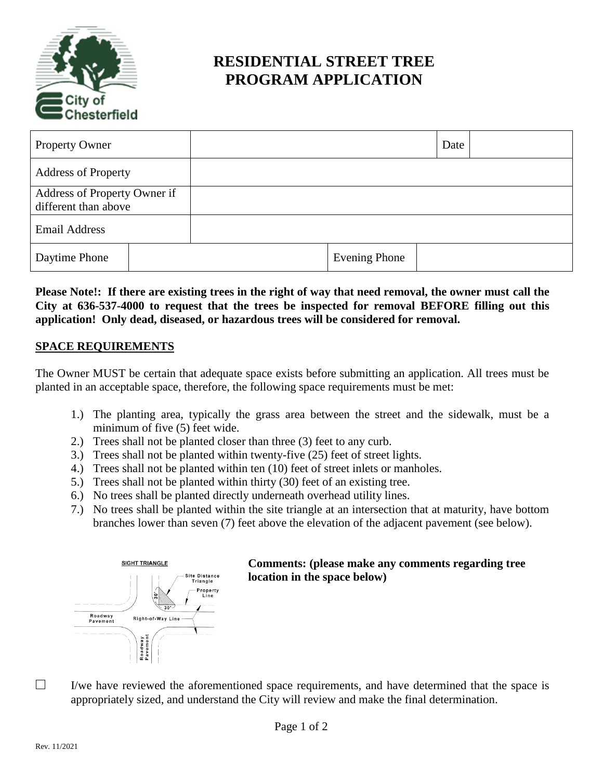

# **RESIDENTIAL STREET TREE PROGRAM APPLICATION**

| <b>Property Owner</b>                                |  |                      | Date |  |
|------------------------------------------------------|--|----------------------|------|--|
| <b>Address of Property</b>                           |  |                      |      |  |
| Address of Property Owner if<br>different than above |  |                      |      |  |
| <b>Email Address</b>                                 |  |                      |      |  |
| Daytime Phone                                        |  | <b>Evening Phone</b> |      |  |

**Please Note!: If there are existing trees in the right of way that need removal, the owner must call the City at 636-537-4000 to request that the trees be inspected for removal BEFORE filling out this application! Only dead, diseased, or hazardous trees will be considered for removal.**

#### **SPACE REQUIREMENTS**

The Owner MUST be certain that adequate space exists before submitting an application. All trees must be planted in an acceptable space, therefore, the following space requirements must be met:

- 1.) The planting area, typically the grass area between the street and the sidewalk, must be a minimum of five (5) feet wide.
- 2.) Trees shall not be planted closer than three (3) feet to any curb.
- 3.) Trees shall not be planted within twenty-five (25) feet of street lights.
- 4.) Trees shall not be planted within ten (10) feet of street inlets or manholes.
- 5.) Trees shall not be planted within thirty (30) feet of an existing tree.
- 6.) No trees shall be planted directly underneath overhead utility lines.
- 7.) No trees shall be planted within the site triangle at an intersection that at maturity, have bottom branches lower than seven (7) feet above the elevation of the adjacent pavement (see below).



# **Comments: (please make any comments regarding tree location in the space below)**

I/we have reviewed the aforementioned space requirements, and have determined that the space is appropriately sized, and understand the City will review and make the final determination.

 $\Box$